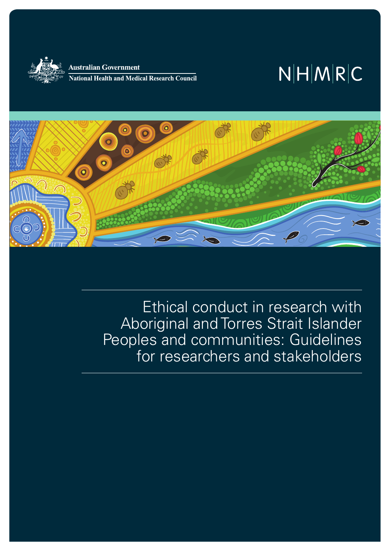

Australian Government **National Health and Medical Research Council** 

# $N|H|M|R|C$



Ethical conduct in research with Aboriginal and Torres Strait Islander Peoples and communities: Guidelines for researchers and stakeholders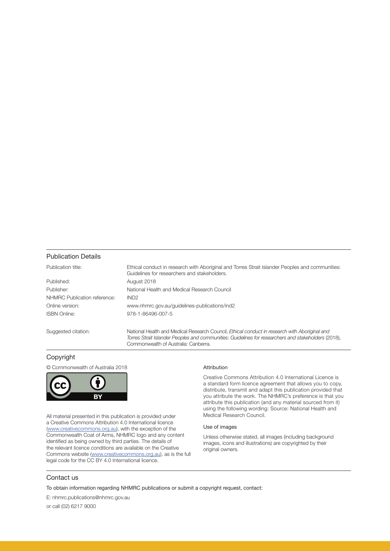#### Publication Details

| Publication title:           | Ethical conduct in research with Aboriginal and Torres Strait Islander Peoples and communities:<br>Guidelines for researchers and stakeholders.                                                                                              |
|------------------------------|----------------------------------------------------------------------------------------------------------------------------------------------------------------------------------------------------------------------------------------------|
| Published:                   | August 2018                                                                                                                                                                                                                                  |
| Publisher:                   | National Health and Medical Research Council                                                                                                                                                                                                 |
| NHMRC Publication reference: | IND <sub>2</sub>                                                                                                                                                                                                                             |
| Online version:              | www.nhmrc.gov.au/guidelines-publications/ind2                                                                                                                                                                                                |
| <b>ISBN Online:</b>          | 978-1-86496-007-5                                                                                                                                                                                                                            |
| Suggested citation:          | National Health and Medical Research Council, Ethical conduct in research with Aboriginal and<br>Torres Strait Islander Peoples and communities: Guidelines for researchers and stakeholders (2018),<br>Commonwealth of Australia: Canberra. |

#### Copyright

© Commonwealth of Australia 2018



All material presented in this publication is provided under a Creative Commons Attribution 4.0 International licence ([www.creativecommons.org.au\)](http://creativecommons.org.au/), with the exception of the Commonwealth Coat of Arms, NHMRC logo and any content identified as being owned by third parties. The details of the relevant licence conditions are available on the Creative Commons website ([www.creativecommons.org.au\)](http://creativecommons.org.au/), as is the full legal code for the CC BY 4.0 International licence.

#### Attribution

Creative Commons Attribution 4.0 International Licence is a standard form licence agreement that allows you to copy, distribute, transmit and adapt this publication provided that you attribute the work. The NHMRC's preference is that you attribute this publication (and any material sourced from it) using the following wording: Source: National Health and Medical Research Council.

#### Use of images

Unless otherwise stated, all images (including background images, icons and illustrations) are copyrighted by their original owners.

#### Contact us

To obtain information regarding NHMRC publications or submit a copyright request, contact:

E: nhmrc.publications@nhmrc.gov.au

or call (02) 6217 9000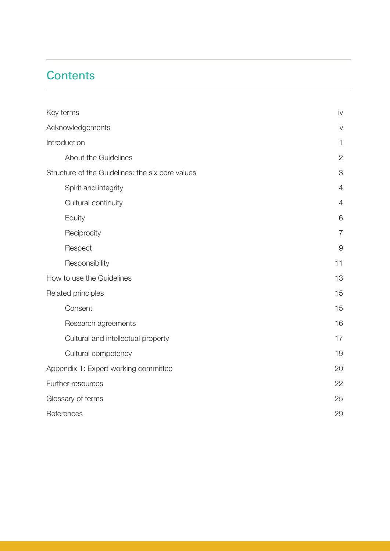### **Contents**

| Key terms                                        | iv             |
|--------------------------------------------------|----------------|
| Acknowledgements                                 | $\vee$         |
| Introduction                                     | $\mathbf{1}$   |
| About the Guidelines                             | $\mathbf{2}$   |
| Structure of the Guidelines: the six core values | 3              |
| Spirit and integrity                             | $\overline{4}$ |
| Cultural continuity                              | 4              |
| Equity                                           | 6              |
| Reciprocity                                      | $\overline{7}$ |
| Respect                                          | $\overline{9}$ |
| Responsibility                                   | 11             |
| How to use the Guidelines                        | 13             |
| Related principles                               | 15             |
| Consent                                          | 15             |
| Research agreements                              | 16             |
| Cultural and intellectual property               | 17             |
| Cultural competency                              | 19             |
| Appendix 1: Expert working committee             | 20             |
| Further resources                                | 22             |
| Glossary of terms                                | 25             |
| References                                       | 29             |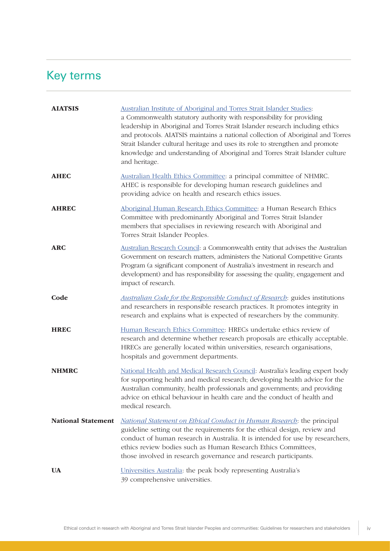## <span id="page-3-0"></span>Key terms

| <b>AIATSIS</b>            | Australian Institute of Aboriginal and Torres Strait Islander Studies:<br>a Commonwealth statutory authority with responsibility for providing<br>leadership in Aboriginal and Torres Strait Islander research including ethics<br>and protocols. AIATSIS maintains a national collection of Aboriginal and Torres<br>Strait Islander cultural heritage and uses its role to strengthen and promote<br>knowledge and understanding of Aboriginal and Torres Strait Islander culture<br>and heritage. |  |
|---------------------------|------------------------------------------------------------------------------------------------------------------------------------------------------------------------------------------------------------------------------------------------------------------------------------------------------------------------------------------------------------------------------------------------------------------------------------------------------------------------------------------------------|--|
| <b>AHEC</b>               | Australian Health Ethics Committee: a principal committee of NHMRC.<br>AHEC is responsible for developing human research guidelines and<br>providing advice on health and research ethics issues.                                                                                                                                                                                                                                                                                                    |  |
| <b>AHREC</b>              | Aboriginal Human Research Ethics Committee: a Human Research Ethics<br>Committee with predominantly Aboriginal and Torres Strait Islander<br>members that specialises in reviewing research with Aboriginal and<br>Torres Strait Islander Peoples.                                                                                                                                                                                                                                                   |  |
| <b>ARC</b>                | Australian Research Council: a Commonwealth entity that advises the Australian<br>Government on research matters, administers the National Competitive Grants<br>Program (a significant component of Australia's investment in research and<br>development) and has responsibility for assessing the quality, engagement and<br>impact of research.                                                                                                                                                  |  |
| Code                      | <b>Australian Code for the Responsible Conduct of Research:</b> guides institutions<br>and researchers in responsible research practices. It promotes integrity in<br>research and explains what is expected of researchers by the community.                                                                                                                                                                                                                                                        |  |
| <b>HREC</b>               | Human Research Ethics Committee: HRECs undertake ethics review of<br>research and determine whether research proposals are ethically acceptable.<br>HRECs are generally located within universities, research organisations,<br>hospitals and government departments.                                                                                                                                                                                                                                |  |
| <b>NHMRC</b>              | National Health and Medical Research Council: Australia's leading expert body<br>for supporting health and medical research; developing health advice for the<br>Australian community, health professionals and governments; and providing<br>advice on ethical behaviour in health care and the conduct of health and<br>medical research.                                                                                                                                                          |  |
| <b>National Statement</b> | <b>National Statement on Ethical Conduct in Human Research:</b> the principal<br>guideline setting out the requirements for the ethical design, review and<br>conduct of human research in Australia. It is intended for use by researchers,<br>ethics review bodies such as Human Research Ethics Committees,<br>those involved in research governance and research participants.                                                                                                                   |  |
| <b>UA</b>                 | Universities Australia: the peak body representing Australia's<br>39 comprehensive universities.                                                                                                                                                                                                                                                                                                                                                                                                     |  |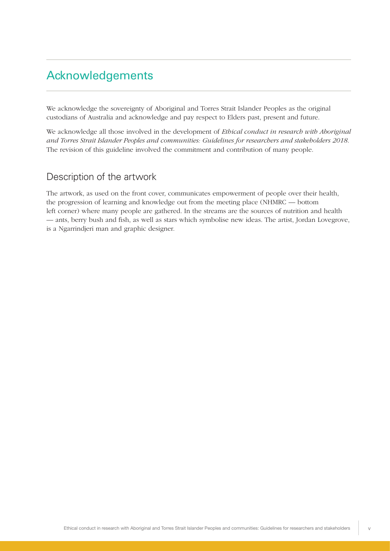### <span id="page-4-0"></span>Acknowledgements

We acknowledge the sovereignty of Aboriginal and Torres Strait Islander Peoples as the original custodians of Australia and acknowledge and pay respect to Elders past, present and future.

We acknowledge all those involved in the development of *Ethical conduct in research with Aboriginal and Torres Strait Islander Peoples and communities: Guidelines for researchers and stakeholders 2018*. The revision of this guideline involved the commitment and contribution of many people.

### Description of the artwork

The artwork, as used on the front cover, communicates empowerment of people over their health, the progression of learning and knowledge out from the meeting place (NHMRC — bottom left corner) where many people are gathered. In the streams are the sources of nutrition and health — ants, berry bush and fish, as well as stars which symbolise new ideas. The artist, Jordan Lovegrove, is a Ngarrindjeri man and graphic designer.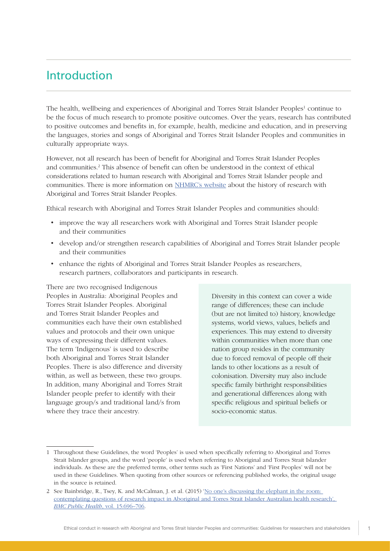### <span id="page-5-0"></span>Introduction

The health, wellbeing and experiences of Aboriginal and Torres Strait Islander Peoples<sup>1</sup> continue to be the focus of much research to promote positive outcomes. Over the years, research has contributed to positive outcomes and benefits in, for example, health, medicine and education, and in preserving the languages, stories and songs of Aboriginal and Torres Strait Islander Peoples and communities in culturally appropriate ways.

However, not all research has been of benefit for Aboriginal and Torres Strait Islander Peoples and communities.<sup>2</sup> This absence of benefit can often be understood in the context of ethical considerations related to human research with Aboriginal and Torres Strait Islander people and communities. There is more information on [NHMRC's website](https://www.nhmrc.gov.au/health-ethics/ethical-issues-and-further-resources/ethical-guidelines-research-involving-aboriginal-) about the history of research with Aboriginal and Torres Strait Islander Peoples.

Ethical research with Aboriginal and Torres Strait Islander Peoples and communities should:

- improve the way all researchers work with Aboriginal and Torres Strait Islander people and their communities
- develop and/or strengthen research capabilities of Aboriginal and Torres Strait Islander people and their communities
- enhance the rights of Aboriginal and Torres Strait Islander Peoples as researchers, research partners, collaborators and participants in research.

There are two recognised Indigenous Peoples in Australia: Aboriginal Peoples and Torres Strait Islander Peoples. Aboriginal and Torres Strait Islander Peoples and communities each have their own established values and protocols and their own unique ways of expressing their different values. The term 'Indigenous' is used to describe both Aboriginal and Torres Strait Islander Peoples. There is also difference and diversity within, as well as between, these two groups. In addition, many Aboriginal and Torres Strait Islander people prefer to identify with their language group/s and traditional land/s from where they trace their ancestry.

Diversity in this context can cover a wide range of differences; these can include (but are not limited to) history, knowledge systems, world views, values, beliefs and experiences. This may extend to diversity within communities when more than one nation group resides in the community due to forced removal of people off their lands to other locations as a result of colonisation. Diversity may also include specific family birthright responsibilities and generational differences along with specific religious and spiritual beliefs or socio-economic status.

<sup>1</sup> Throughout these Guidelines, the word 'Peoples' is used when specifically referring to Aboriginal and Torres Strait Islander groups, and the word 'people' is used when referring to Aboriginal and Torres Strait Islander individuals. As these are the preferred terms, other terms such as 'First Nations' and 'First Peoples' will not be used in these Guidelines. When quoting from other sources or referencing published works, the original usage in the source is retained.

<sup>2</sup> See Bainbridge, R., Tsey, K. and McCalman, J. et al. (2015) ['No one's discussing the elephant in the room:](https://bmcpublichealth.biomedcentral.com/articles/10.1186/s12889-015-2052-3)  [contemplating questions of research impact in Aboriginal and Torres Strait Islander Australian health research](https://bmcpublichealth.biomedcentral.com/articles/10.1186/s12889-015-2052-3)', *BMC Public Health*, vol. 15:696–706.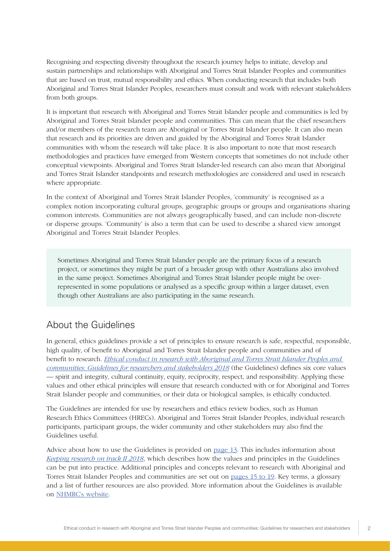<span id="page-6-0"></span>Recognising and respecting diversity throughout the research journey helps to initiate, develop and sustain partnerships and relationships with Aboriginal and Torres Strait Islander Peoples and communities that are based on trust, mutual responsibility and ethics. When conducting research that includes both Aboriginal and Torres Strait Islander Peoples, researchers must consult and work with relevant stakeholders from both groups.

It is important that research with Aboriginal and Torres Strait Islander people and communities is led by Aboriginal and Torres Strait Islander people and communities. This can mean that the chief researchers and/or members of the research team are Aboriginal or Torres Strait Islander people. It can also mean that research and its priorities are driven and guided by the Aboriginal and Torres Strait Islander communities with whom the research will take place. It is also important to note that most research methodologies and practices have emerged from Western concepts that sometimes do not include other conceptual viewpoints. Aboriginal and Torres Strait Islander-led research can also mean that Aboriginal and Torres Strait Islander standpoints and research methodologies are considered and used in research where appropriate.

In the context of Aboriginal and Torres Strait Islander Peoples, 'community' is recognised as a complex notion incorporating cultural groups, geographic groups or groups and organisations sharing common interests. Communities are not always geographically based, and can include non-discrete or disperse groups. 'Community' is also a term that can be used to describe a shared view amongst Aboriginal and Torres Strait Islander Peoples.

Sometimes Aboriginal and Torres Strait Islander people are the primary focus of a research project, or sometimes they might be part of a broader group with other Australians also involved in the same project. Sometimes Aboriginal and Torres Strait Islander people might be overrepresented in some populations or analysed as a specific group within a larger dataset, even though other Australians are also participating in the same research.

### About the Guidelines

In general, ethics guidelines provide a set of principles to ensure research is safe, respectful, responsible, high quality, of benefit to Aboriginal and Torres Strait Islander people and communities and of benefit to research. *[Ethical conduct in research with Aboriginal and Torres Strait Islander Peoples and](https://www.nhmrc.gov.au/guidelines-publications/ind2)  [communities: Guidelines for researchers and stakeholders 2018](https://www.nhmrc.gov.au/guidelines-publications/ind2)* (the Guidelines) defines six core values — spirit and integrity, cultural continuity, equity, reciprocity, respect, and responsibility. Applying these values and other ethical principles will ensure that research conducted with or for Aboriginal and Torres Strait Islander people and communities, or their data or biological samples, is ethically conducted.

The Guidelines are intended for use by researchers and ethics review bodies, such as Human Research Ethics Committees (HRECs). Aboriginal and Torres Strait Islander Peoples, individual research participants, participant groups, the wider community and other stakeholders may also find the Guidelines useful.

Advice about how to use the Guidelines is provided on [page 13.](#page-17-0) This includes information about *[Keeping research on track II 2018](https://www.nhmrc.gov.au/guidelines-publications/ind3)*, which describes how the values and principles in the Guidelines can be put into practice. Additional principles and concepts relevant to research with Aboriginal and Torres Strait Islander Peoples and communities are set out on [pages 15 to 19.](#page-19-0) Key terms, a glossary and a list of further resources are also provided. More information about the Guidelines is available on [NHMRC's website.](https://www.nhmrc.gov.au/health-ethics/ethical-issues-and-further-resources/ethical-guidelines-research-involving-aboriginal-)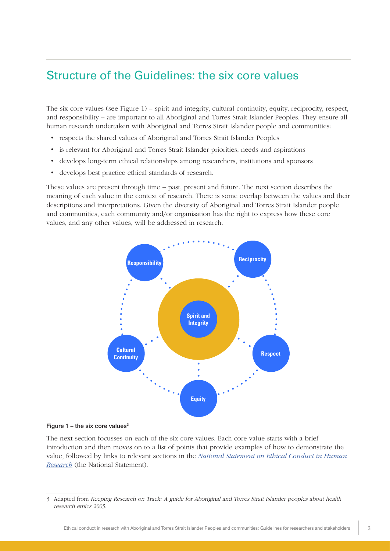### <span id="page-7-0"></span>Structure of the Guidelines: the six core values

The six core values (see Figure 1) – spirit and integrity, cultural continuity, equity, reciprocity, respect, and responsibility – are important to all Aboriginal and Torres Strait Islander Peoples. They ensure all human research undertaken with Aboriginal and Torres Strait Islander people and communities:

- respects the shared values of Aboriginal and Torres Strait Islander Peoples
- is relevant for Aboriginal and Torres Strait Islander priorities, needs and aspirations
- develops long-term ethical relationships among researchers, institutions and sponsors
- develops best practice ethical standards of research.

These values are present through time – past, present and future. The next section describes the meaning of each value in the context of research. There is some overlap between the values and their descriptions and interpretations. Given the diversity of Aboriginal and Torres Strait Islander people and communities, each community and/or organisation has the right to express how these core values, and any other values, will be addressed in research.



#### Figure  $1$  – the six core values<sup>3</sup>

The next section focusses on each of the six core values. Each core value starts with a brief introduction and then moves on to a list of points that provide examples of how to demonstrate the value, followed by links to relevant sections in the *[National Statement on Ethical Conduct in Human](https://www.nhmrc.gov.au/guidelines-publications/e72)  [Research](https://www.nhmrc.gov.au/guidelines-publications/e72)* (the National Statement).

<sup>3</sup> Adapted from Keeping Research on Track: A guide for Aboriginal and Torres Strait Islander peoples about health research ethics 2005.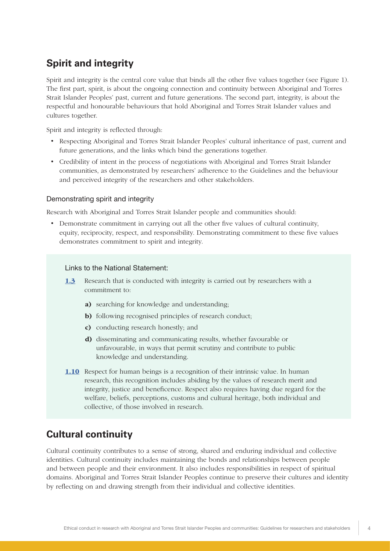### <span id="page-8-0"></span>**Spirit and integrity**

Spirit and integrity is the central core value that binds all the other five values together (see Figure 1). The first part, spirit, is about the ongoing connection and continuity between Aboriginal and Torres Strait Islander Peoples' past, current and future generations. The second part, integrity, is about the respectful and honourable behaviours that hold Aboriginal and Torres Strait Islander values and cultures together.

Spirit and integrity is reflected through:

- Respecting Aboriginal and Torres Strait Islander Peoples' cultural inheritance of past, current and future generations, and the links which bind the generations together.
- Credibility of intent in the process of negotiations with Aboriginal and Torres Strait Islander communities, as demonstrated by researchers' adherence to the Guidelines and the behaviour and perceived integrity of the researchers and other stakeholders.

#### Demonstrating spirit and integrity

Research with Aboriginal and Torres Strait Islander people and communities should:

• Demonstrate commitment in carrying out all the other five values of cultural continuity, equity, reciprocity, respect, and responsibility. Demonstrating commitment to these five values demonstrates commitment to spirit and integrity.

#### Links to the National Statement:

- [1.3](https://www.nhmrc.gov.au/book/section-1-values-and-principles-ethical-conduct) Research that is conducted with integrity is carried out by researchers with a commitment to:
	- a) searching for knowledge and understanding;
	- b) following recognised principles of research conduct;
	- c) conducting research honestly; and
	- d) disseminating and communicating results, whether favourable or unfavourable, in ways that permit scrutiny and contribute to public knowledge and understanding.
- [1.10](https://www.nhmrc.gov.au/book/section-1-values-and-principles-ethical-conduct) Respect for human beings is a recognition of their intrinsic value. In human research, this recognition includes abiding by the values of research merit and integrity, justice and beneficence. Respect also requires having due regard for the welfare, beliefs, perceptions, customs and cultural heritage, both individual and collective, of those involved in research.

### **Cultural continuity**

Cultural continuity contributes to a sense of strong, shared and enduring individual and collective identities. Cultural continuity includes maintaining the bonds and relationships between people and between people and their environment. It also includes responsibilities in respect of spiritual domains. Aboriginal and Torres Strait Islander Peoples continue to preserve their cultures and identity by reflecting on and drawing strength from their individual and collective identities.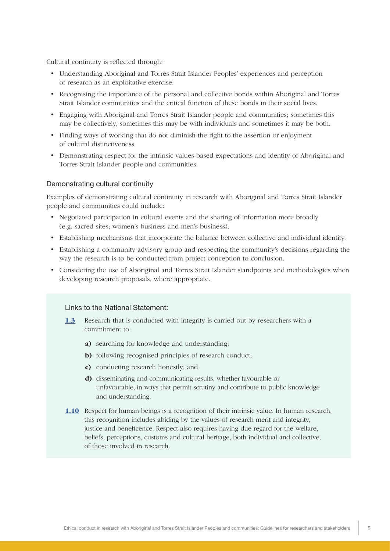Cultural continuity is reflected through:

- Understanding Aboriginal and Torres Strait Islander Peoples' experiences and perception of research as an exploitative exercise.
- Recognising the importance of the personal and collective bonds within Aboriginal and Torres Strait Islander communities and the critical function of these bonds in their social lives.
- Engaging with Aboriginal and Torres Strait Islander people and communities; sometimes this may be collectively, sometimes this may be with individuals and sometimes it may be both.
- Finding ways of working that do not diminish the right to the assertion or enjoyment of cultural distinctiveness.
- Demonstrating respect for the intrinsic values-based expectations and identity of Aboriginal and Torres Strait Islander people and communities.

#### Demonstrating cultural continuity

Examples of demonstrating cultural continuity in research with Aboriginal and Torres Strait Islander people and communities could include:

- Negotiated participation in cultural events and the sharing of information more broadly (e.g. sacred sites; women's business and men's business).
- Establishing mechanisms that incorporate the balance between collective and individual identity.
- Establishing a community advisory group and respecting the community's decisions regarding the way the research is to be conducted from project conception to conclusion.
- Considering the use of Aboriginal and Torres Strait Islander standpoints and methodologies when developing research proposals, where appropriate.

#### Links to the National Statement:

- [1.3](https://www.nhmrc.gov.au/book/section-1-values-and-principles-ethical-conduct) Research that is conducted with integrity is carried out by researchers with a commitment to:
	- a) searching for knowledge and understanding;
	- b) following recognised principles of research conduct;
	- c) conducting research honestly; and
	- d) disseminating and communicating results, whether favourable or unfavourable, in ways that permit scrutiny and contribute to public knowledge and understanding.
- [1.10](https://www.nhmrc.gov.au/book/section-1-values-and-principles-ethical-conduct) Respect for human beings is a recognition of their intrinsic value. In human research, this recognition includes abiding by the values of research merit and integrity, justice and beneficence. Respect also requires having due regard for the welfare, beliefs, perceptions, customs and cultural heritage, both individual and collective, of those involved in research.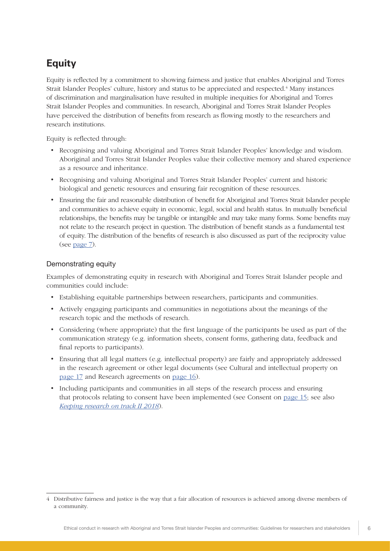### <span id="page-10-0"></span>**Equity**

Equity is reflected by a commitment to showing fairness and justice that enables Aboriginal and Torres Strait Islander Peoples' culture, history and status to be appreciated and respected.<sup>4</sup> Many instances of discrimination and marginalisation have resulted in multiple inequities for Aboriginal and Torres Strait Islander Peoples and communities. In research, Aboriginal and Torres Strait Islander Peoples have perceived the distribution of benefits from research as flowing mostly to the researchers and research institutions.

Equity is reflected through:

- Recognising and valuing Aboriginal and Torres Strait Islander Peoples' knowledge and wisdom. Aboriginal and Torres Strait Islander Peoples value their collective memory and shared experience as a resource and inheritance.
- Recognising and valuing Aboriginal and Torres Strait Islander Peoples' current and historic biological and genetic resources and ensuring fair recognition of these resources.
- Ensuring the fair and reasonable distribution of benefit for Aboriginal and Torres Strait Islander people and communities to achieve equity in economic, legal, social and health status. In mutually beneficial relationships, the benefits may be tangible or intangible and may take many forms. Some benefits may not relate to the research project in question. The distribution of benefit stands as a fundamental test of equity. The distribution of the benefits of research is also discussed as part of the reciprocity value (see [page 7\)](#page-11-0).

#### Demonstrating equity

Examples of demonstrating equity in research with Aboriginal and Torres Strait Islander people and communities could include:

- Establishing equitable partnerships between researchers, participants and communities.
- Actively engaging participants and communities in negotiations about the meanings of the research topic and the methods of research.
- Considering (where appropriate) that the first language of the participants be used as part of the communication strategy (e.g. information sheets, consent forms, gathering data, feedback and final reports to participants).
- Ensuring that all legal matters (e.g. intellectual property) are fairly and appropriately addressed in the research agreement or other legal documents (see Cultural and intellectual property on [page 17](#page-21-0) and Research agreements on [page 16\)](#page-20-0).
- Including participants and communities in all steps of the research process and ensuring that protocols relating to consent have been implemented (see Consent on [page 15;](#page-19-0) see also *[Keeping research on track II 2018](https://www.nhmrc.gov.au/guidelines-publications/ind3)*).

<sup>4</sup> Distributive fairness and justice is the way that a fair allocation of resources is achieved among diverse members of a community.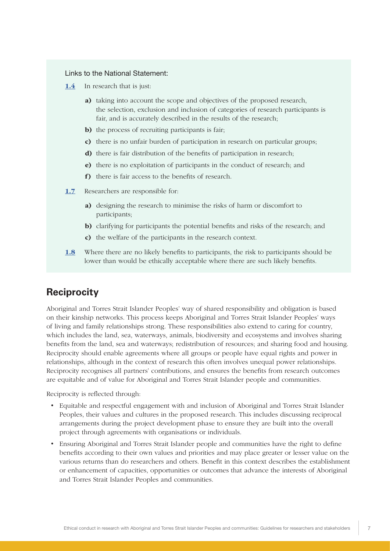#### <span id="page-11-0"></span>Links to the National Statement:

- [1.4](https://www.nhmrc.gov.au/book/section-1-values-and-principles-ethical-conduct) In research that is just:
	- a) taking into account the scope and objectives of the proposed research, the selection, exclusion and inclusion of categories of research participants is fair, and is accurately described in the results of the research;
	- b) the process of recruiting participants is fair;
	- c) there is no unfair burden of participation in research on particular groups;
	- d) there is fair distribution of the benefits of participation in research;
	- e) there is no exploitation of participants in the conduct of research; and
	- f) there is fair access to the benefits of research.
- [1.7](https://www.nhmrc.gov.au/book/section-1-values-and-principles-ethical-conduct) Researchers are responsible for:
	- a) designing the research to minimise the risks of harm or discomfort to participants;
	- b) clarifying for participants the potential benefits and risks of the research; and
	- c) the welfare of the participants in the research context.
- [1.8](https://www.nhmrc.gov.au/book/section-1-values-and-principles-ethical-conduct) Where there are no likely benefits to participants, the risk to participants should be lower than would be ethically acceptable where there are such likely benefits.

### **Reciprocity**

Aboriginal and Torres Strait Islander Peoples' way of shared responsibility and obligation is based on their kinship networks. This process keeps Aboriginal and Torres Strait Islander Peoples' ways of living and family relationships strong. These responsibilities also extend to caring for country, which includes the land, sea, waterways, animals, biodiversity and ecosystems and involves sharing benefits from the land, sea and waterways; redistribution of resources; and sharing food and housing. Reciprocity should enable agreements where all groups or people have equal rights and power in relationships, although in the context of research this often involves unequal power relationships. Reciprocity recognises all partners' contributions, and ensures the benefits from research outcomes are equitable and of value for Aboriginal and Torres Strait Islander people and communities.

Reciprocity is reflected through:

- Equitable and respectful engagement with and inclusion of Aboriginal and Torres Strait Islander Peoples, their values and cultures in the proposed research. This includes discussing reciprocal arrangements during the project development phase to ensure they are built into the overall project through agreements with organisations or individuals.
- Ensuring Aboriginal and Torres Strait Islander people and communities have the right to define benefits according to their own values and priorities and may place greater or lesser value on the various returns than do researchers and others. Benefit in this context describes the establishment or enhancement of capacities, opportunities or outcomes that advance the interests of Aboriginal and Torres Strait Islander Peoples and communities.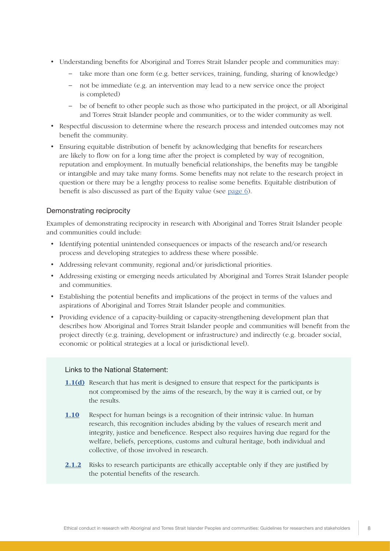- Understanding benefits for Aboriginal and Torres Strait Islander people and communities may:
	- take more than one form (e.g. better services, training, funding, sharing of knowledge)
	- not be immediate (e.g. an intervention may lead to a new service once the project is completed)
	- be of benefit to other people such as those who participated in the project, or all Aboriginal and Torres Strait Islander people and communities, or to the wider community as well.
- Respectful discussion to determine where the research process and intended outcomes may not benefit the community.
- Ensuring equitable distribution of benefit by acknowledging that benefits for researchers are likely to flow on for a long time after the project is completed by way of recognition, reputation and employment. In mutually beneficial relationships, the benefits may be tangible or intangible and may take many forms. Some benefits may not relate to the research project in question or there may be a lengthy process to realise some benefits. Equitable distribution of benefit is also discussed as part of the Equity value (see [page 6](#page-10-0)).

#### Demonstrating reciprocity

Examples of demonstrating reciprocity in research with Aboriginal and Torres Strait Islander people and communities could include:

- Identifying potential unintended consequences or impacts of the research and/or research process and developing strategies to address these where possible.
- Addressing relevant community, regional and/or jurisdictional priorities.
- Addressing existing or emerging needs articulated by Aboriginal and Torres Strait Islander people and communities.
- Establishing the potential benefits and implications of the project in terms of the values and aspirations of Aboriginal and Torres Strait Islander people and communities.
- Providing evidence of a capacity-building or capacity-strengthening development plan that describes how Aboriginal and Torres Strait Islander people and communities will benefit from the project directly (e.g. training, development or infrastructure) and indirectly (e.g. broader social, economic or political strategies at a local or jurisdictional level).

#### Links to the National Statement:

- [1.1\(d\)](https://www.nhmrc.gov.au/book/section-1-values-and-principles-ethical-conduct) Research that has merit is designed to ensure that respect for the participants is not compromised by the aims of the research, by the way it is carried out, or by the results.
- [1.10](https://www.nhmrc.gov.au/book/section-1-values-and-principles-ethical-conduct) Respect for human beings is a recognition of their intrinsic value. In human research, this recognition includes abiding by the values of research merit and integrity, justice and beneficence. Respect also requires having due regard for the welfare, beliefs, perceptions, customs and cultural heritage, both individual and collective, of those involved in research.
- [2.1.2](https://www.nhmrc.gov.au/book/chapter-2-1-risk-and-benefit) Risks to research participants are ethically acceptable only if they are justified by the potential benefits of the research.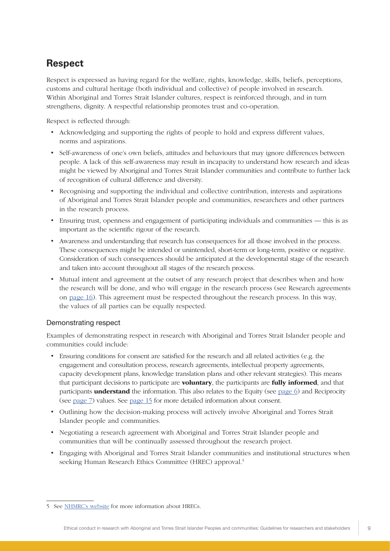### <span id="page-13-0"></span>**Respect**

Respect is expressed as having regard for the welfare, rights, knowledge, skills, beliefs, perceptions, customs and cultural heritage (both individual and collective) of people involved in research. Within Aboriginal and Torres Strait Islander cultures, respect is reinforced through, and in turn strengthens, dignity. A respectful relationship promotes trust and co-operation.

Respect is reflected through:

- Acknowledging and supporting the rights of people to hold and express different values, norms and aspirations.
- Self-awareness of one's own beliefs, attitudes and behaviours that may ignore differences between people. A lack of this self-awareness may result in incapacity to understand how research and ideas might be viewed by Aboriginal and Torres Strait Islander communities and contribute to further lack of recognition of cultural difference and diversity.
- Recognising and supporting the individual and collective contribution, interests and aspirations of Aboriginal and Torres Strait Islander people and communities, researchers and other partners in the research process.
- Ensuring trust, openness and engagement of participating individuals and communities this is as important as the scientific rigour of the research.
- Awareness and understanding that research has consequences for all those involved in the process. These consequences might be intended or unintended, short-term or long-term, positive or negative. Consideration of such consequences should be anticipated at the developmental stage of the research and taken into account throughout all stages of the research process.
- Mutual intent and agreement at the outset of any research project that describes when and how the research will be done, and who will engage in the research process (see Research agreements on [page 16\)](#page-20-0). This agreement must be respected throughout the research process. In this way, the values of all parties can be equally respected.

### Demonstrating respect

Examples of demonstrating respect in research with Aboriginal and Torres Strait Islander people and communities could include:

- Ensuring conditions for consent are satisfied for the research and all related activities (e.g. the engagement and consultation process, research agreements, intellectual property agreements, capacity development plans, knowledge translation plans and other relevant strategies). This means that participant decisions to participate are **voluntary**, the participants are **fully informed**, and that participants **understand** the information. This also relates to the Equity (see [page 6](#page-10-0)) and Reciprocity (see [page 7\)](#page-11-0) values. See [page 15](#page-19-0) for more detailed information about consent.
- Outlining how the decision-making process will actively involve Aboriginal and Torres Strait Islander people and communities.
- Negotiating a research agreement with Aboriginal and Torres Strait Islander people and communities that will be continually assessed throughout the research project.
- Engaging with Aboriginal and Torres Strait Islander communities and institutional structures when seeking Human Research Ethics Committee (HREC) approval.<sup>5</sup>

<sup>5</sup> See [NHMRC's website](https://www.nhmrc.gov.au/health-ethics/human-research-ethics-committees-hrecs) for more information about HRECs.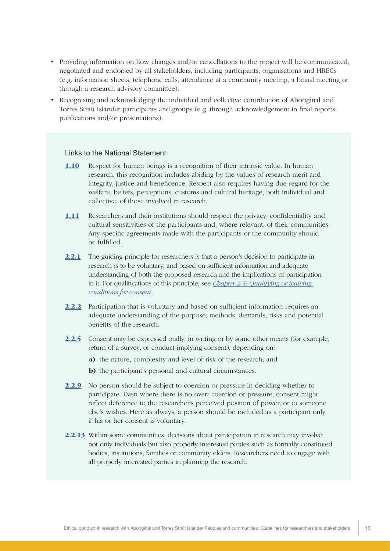- Providing information on how changes and/or cancellations to the project will be communicated, negotiated and endorsed by all stakeholders, including participants, organisations and HRECs (e.g. information sheets, telephone calls, attendance at a community meeting, a board meeting or through a research advisory committee).
- Recognising and acknowledging the individual and collective contribution of Aboriginal and Torres Strait Islander participants and groups (e.g. through acknowledgement in final reports, publications and/or presentations).

#### Links to the National Statement:

- [1.10](https://www.nhmrc.gov.au/book/section-1-values-and-principles-ethical-conduct) Respect for human beings is a recognition of their intrinsic value. In human research, this recognition includes abiding by the values of research merit and integrity, justice and beneficence. Respect also requires having due regard for the welfare, beliefs, perceptions, customs and cultural heritage, both individual and collective, of those involved in research.
- [1.11](https://www.nhmrc.gov.au/book/section-1-values-and-principles-ethical-conduct) Researchers and their institutions should respect the privacy, confidentiality and cultural sensitivities of the participants and, where relevant, of their communities. Any specific agreements made with the participants or the community should be fulfilled.
- [2.2.1](https://www.nhmrc.gov.au/book/chapter-2-2-general-requirements-consent) The guiding principle for researchers is that a person's decision to participate in research is to be voluntary, and based on sufficient information and adequate understanding of both the proposed research and the implications of participation in it. For qualifications of this principle, see *[Chapter 2.3: Qualifying or waiving](https://www.nhmrc.gov.au/book/national-statement-ethical-conduct-human-research-2007-updated-december-2013/chapter-2-3-qualif)  [conditions for consent.](https://www.nhmrc.gov.au/book/national-statement-ethical-conduct-human-research-2007-updated-december-2013/chapter-2-3-qualif)*
- [2.2.2](https://www.nhmrc.gov.au/book/chapter-2-2-general-requirements-consent) Participation that is voluntary and based on sufficient information requires an adequate understanding of the purpose, methods, demands, risks and potential benefits of the research.
- [2.2.5](https://www.nhmrc.gov.au/book/chapter-2-2-general-requirements-consent) Consent may be expressed orally, in writing or by some other means (for example, return of a survey, or conduct implying consent), depending on:
	- a) the nature, complexity and level of risk of the research; and
	- b) the participant's personal and cultural circumstances.
- [2.2.9](https://www.nhmrc.gov.au/book/chapter-2-2-general-requirements-consent) No person should be subject to coercion or pressure in deciding whether to participate. Even where there is no overt coercion or pressure, consent might reflect deference to the researcher's perceived position of power, or to someone else's wishes. Here as always, a person should be included as a participant only if his or her consent is voluntary.
- [2.2.13](https://www.nhmrc.gov.au/book/chapter-2-2-general-requirements-consent) Within some communities, decisions about participation in research may involve not only individuals but also properly interested parties such as formally constituted bodies, institutions, families or community elders. Researchers need to engage with all properly interested parties in planning the research.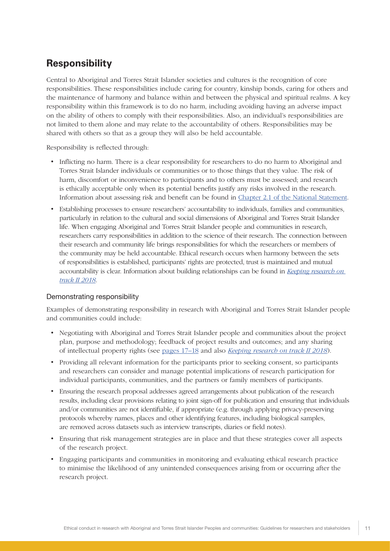### <span id="page-15-0"></span>**Responsibility**

Central to Aboriginal and Torres Strait Islander societies and cultures is the recognition of core responsibilities. These responsibilities include caring for country, kinship bonds, caring for others and the maintenance of harmony and balance within and between the physical and spiritual realms. A key responsibility within this framework is to do no harm, including avoiding having an adverse impact on the ability of others to comply with their responsibilities. Also, an individual's responsibilities are not limited to them alone and may relate to the accountability of others. Responsibilities may be shared with others so that as a group they will also be held accountable.

Responsibility is reflected through:

- Inflicting no harm. There is a clear responsibility for researchers to do no harm to Aboriginal and Torres Strait Islander individuals or communities or to those things that they value. The risk of harm, discomfort or inconvenience to participants and to others must be assessed; and research is ethically acceptable only when its potential benefits justify any risks involved in the research. Information about assessing risk and benefit can be found in [Chapter 2.1 of the National Statement.](https://www.nhmrc.gov.au/book/chapter-2-1-risk-and-benefit)
- Establishing processes to ensure researchers' accountability to individuals, families and communities, particularly in relation to the cultural and social dimensions of Aboriginal and Torres Strait Islander life. When engaging Aboriginal and Torres Strait Islander people and communities in research, researchers carry responsibilities in addition to the science of their research. The connection between their research and community life brings responsibilities for which the researchers or members of the community may be held accountable. Ethical research occurs when harmony between the sets of responsibilities is established, participants' rights are protected, trust is maintained and mutual accountability is clear. Information about building relationships can be found in *[Keeping research on](https://www.nhmrc.gov.au/guidelines-publications/ind3)  [track II 2018](https://www.nhmrc.gov.au/guidelines-publications/ind3)*.

#### Demonstrating responsibility

Examples of demonstrating responsibility in research with Aboriginal and Torres Strait Islander people and communities could include:

- Negotiating with Aboriginal and Torres Strait Islander people and communities about the project plan, purpose and methodology; feedback of project results and outcomes; and any sharing of intellectual property rights (see [pages 17–18](#page-21-0) and also *[Keeping research on track II 2018](https://www.nhmrc.gov.au/guidelines-publications/ind3)*).
- Providing all relevant information for the participants prior to seeking consent, so participants and researchers can consider and manage potential implications of research participation for individual participants, communities, and the partners or family members of participants.
- Ensuring the research proposal addresses agreed arrangements about publication of the research results, including clear provisions relating to joint sign-off for publication and ensuring that individuals and/or communities are not identifiable, if appropriate (e.g. through applying privacy-preserving protocols whereby names, places and other identifying features, including biological samples, are removed across datasets such as interview transcripts, diaries or field notes).
- Ensuring that risk management strategies are in place and that these strategies cover all aspects of the research project.
- Engaging participants and communities in monitoring and evaluating ethical research practice to minimise the likelihood of any unintended consequences arising from or occurring after the research project.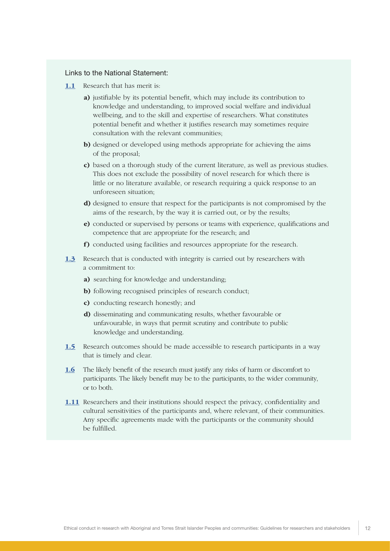#### Links to the National Statement:

- [1.1](https://www.nhmrc.gov.au/book/section-1-values-and-principles-ethical-conduct) Research that has merit is:
	- a) justifiable by its potential benefit, which may include its contribution to knowledge and understanding, to improved social welfare and individual wellbeing, and to the skill and expertise of researchers. What constitutes potential benefit and whether it justifies research may sometimes require consultation with the relevant communities;
	- b) designed or developed using methods appropriate for achieving the aims of the proposal;
	- c) based on a thorough study of the current literature, as well as previous studies. This does not exclude the possibility of novel research for which there is little or no literature available, or research requiring a quick response to an unforeseen situation;
	- d) designed to ensure that respect for the participants is not compromised by the aims of the research, by the way it is carried out, or by the results;
	- e) conducted or supervised by persons or teams with experience, qualifications and competence that are appropriate for the research; and
	- f) conducted using facilities and resources appropriate for the research.
- **[1.3](https://www.nhmrc.gov.au/book/section-1-values-and-principles-ethical-conduct)** Research that is conducted with integrity is carried out by researchers with a commitment to:
	- a) searching for knowledge and understanding;
	- b) following recognised principles of research conduct;
	- c) conducting research honestly; and
	- d) disseminating and communicating results, whether favourable or unfavourable, in ways that permit scrutiny and contribute to public knowledge and understanding.
- [1.5](https://www.nhmrc.gov.au/book/section-1-values-and-principles-ethical-conduct) Research outcomes should be made accessible to research participants in a way that is timely and clear.
- [1.6](https://www.nhmrc.gov.au/book/section-1-values-and-principles-ethical-conduct) The likely benefit of the research must justify any risks of harm or discomfort to participants. The likely benefit may be to the participants, to the wider community, or to both.
- [1.11](https://www.nhmrc.gov.au/book/section-1-values-and-principles-ethical-conduct) Researchers and their institutions should respect the privacy, confidentiality and cultural sensitivities of the participants and, where relevant, of their communities. Any specific agreements made with the participants or the community should be fulfilled.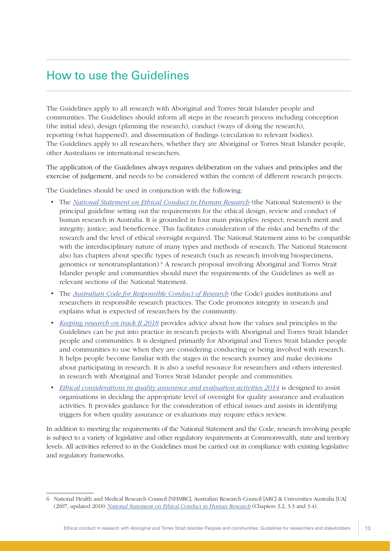### <span id="page-17-0"></span>How to use the Guidelines

The Guidelines apply to all research with Aboriginal and Torres Strait Islander people and communities. The Guidelines should inform all steps in the research process including conception (the initial idea), design (planning the research), conduct (ways of doing the research), reporting (what happened), and dissemination of findings (circulation to relevant bodies). The Guidelines apply to all researchers, whether they are Aboriginal or Torres Strait Islander people, other Australians or international researchers.

The application of the Guidelines always requires deliberation on the values and principles and the exercise of judgement, and needs to be considered within the context of different research projects.

The Guidelines should be used in conjunction with the following:

- The *[National Statement on Ethical Conduct in Human Research](https://www.nhmrc.gov.au/guidelines-publications/e72)* (the National Statement) is the principal guideline setting out the requirements for the ethical design, review and conduct of human research in Australia. It is grounded in four main principles: respect; research merit and integrity; justice; and beneficence. This facilitates consideration of the risks and benefits of the research and the level of ethical oversight required. The National Statement aims to be compatible with the interdisciplinary nature of many types and methods of research. The National Statement also has chapters about specific types of research (such as research involving biospecimens, genomics or xenotransplantation).<sup>6</sup> A research proposal involving Aboriginal and Torres Strait Islander people and communities should meet the requirements of the Guidelines as well as relevant sections of the National Statement.
- The *[Australian Code for Responsible Conduct of Research](https://www.nhmrc.gov.au/guidelines-publications/r41)* (the Code) guides institutions and researchers in responsible research practices. The Code promotes integrity in research and explains what is expected of researchers by the community.
- *[Keeping research on track II 2018](https://www.nhmrc.gov.au/guidelines-publications/ind3)* provides advice about how the values and principles in the Guidelines can be put into practice in research projects with Aboriginal and Torres Strait Islander people and communities. It is designed primarily for Aboriginal and Torres Strait Islander people and communities to use when they are considering conducting or being involved with research. It helps people become familiar with the stages in the research journey and make decisions about participating in research. It is also a useful resource for researchers and others interested in research with Aboriginal and Torres Strait Islander people and communities.
- *[Ethical considerations in quality assurance and evaluation activities 2014](https://www.nhmrc.gov.au/guidelines-publications/e111)* is designed to assist organisations in deciding the appropriate level of oversight for quality assurance and evaluation activities. It provides guidance for the consideration of ethical issues and assists in identifying triggers for when quality assurance or evaluations may require ethics review.

In addition to meeting the requirements of the National Statement and the Code, research involving people is subject to a variety of legislative and other regulatory requirements at Commonwealth, state and territory levels. All activities referred to in the Guidelines must be carried out in compliance with existing legislative and regulatory frameworks.

<sup>6</sup> National Health and Medical Research Council [NHMRC], Australian Research Council [ARC] & Universities Australia [UA] (2007, updated 2018) [National Statement on Ethical Conduct in Human Research](https://www.nhmrc.gov.au/guidelines-publications/e72) (Chapters 3.2, 3.3 and 3.4).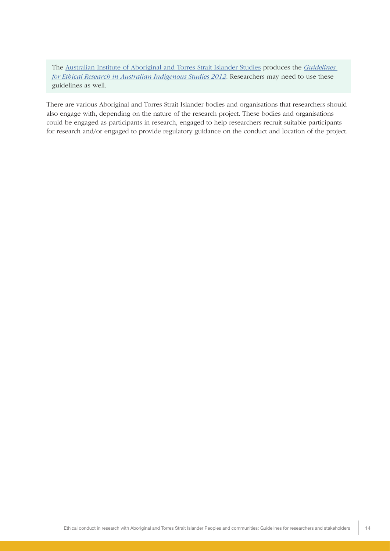The [Australian Institute of Aboriginal and Torres Strait Islander Studies](http://aiatsis.gov.au/) produces the *[Guidelines](http://aiatsis.gov.au/research/ethical-research/guidelines-ethical-research-australian-indigenous-studies)  [for Ethical Research in Australian Indigenous Studies 2012](http://aiatsis.gov.au/research/ethical-research/guidelines-ethical-research-australian-indigenous-studies)*. Researchers may need to use these guidelines as well.

There are various Aboriginal and Torres Strait Islander bodies and organisations that researchers should also engage with, depending on the nature of the research project. These bodies and organisations could be engaged as participants in research, engaged to help researchers recruit suitable participants for research and/or engaged to provide regulatory guidance on the conduct and location of the project.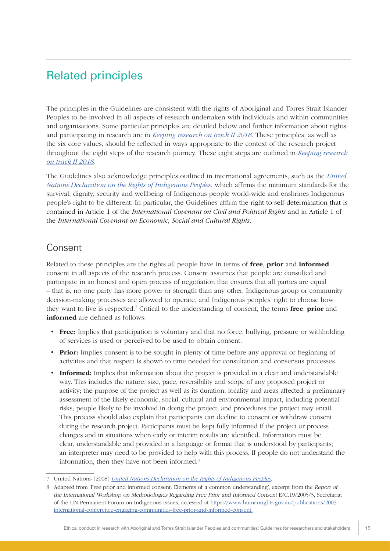### <span id="page-19-0"></span>Related principles

The principles in the Guidelines are consistent with the rights of Aboriginal and Torres Strait Islander Peoples to be involved in all aspects of research undertaken with individuals and within communities and organisations. Some particular principles are detailed below and further information about rights and participating in research are in *[Keeping research on track II 2018](https://www.nhmrc.gov.au/guidelines-publications/ind3)*. These principles, as well as the six core values, should be reflected in ways appropriate to the context of the research project throughout the eight steps of the research journey. These eight steps are outlined in *[Keeping research](https://www.nhmrc.gov.au/guidelines-publications/ind3)  [on track II 2018](https://www.nhmrc.gov.au/guidelines-publications/ind3)*.

The Guidelines also acknowledge principles outlined in international agreements, such as the *[United](https://www.humanrights.gov.au/publications/un-declaration-rights-indigenous-peoples-1)  [Nations Declaration on the Rights of Indigenous Peoples](https://www.humanrights.gov.au/publications/un-declaration-rights-indigenous-peoples-1)*, which affirms the minimum standards for the survival, dignity, security and wellbeing of Indigenous people world-wide and enshrines Indigenous people's right to be different. In particular, the Guidelines affirm the right to self-determination that is contained in Article 1 of the *International Covenant on Civil and Political Rights* and in Article 1 of the *International Covenant on Economic, Social and Cultural Rights*.

### Consent

Related to these principles are the rights all people have in terms of **free, prior** and **informed** consent in all aspects of the research process. Consent assumes that people are consulted and participate in an honest and open process of negotiation that ensures that all parties are equal – that is, no one party has more power or strength than any other, Indigenous group or community decision-making processes are allowed to operate, and Indigenous peoples' right to choose how they want to live is respected.<sup>7</sup> Critical to the understanding of consent, the terms free, prior and informed are defined as follows:

- **Free:** Implies that participation is voluntary and that no force, bullying, pressure or withholding of services is used or perceived to be used to obtain consent.
- **Prior:** Implies consent is to be sought in plenty of time before any approval or beginning of activities and that respect is shown to time needed for consultation and consensus processes.
- Informed: Implies that information about the project is provided in a clear and understandable way. This includes the nature, size, pace, reversibility and scope of any proposed project or activity; the purpose of the project as well as its duration; locality and areas affected; a preliminary assessment of the likely economic, social, cultural and environmental impact, including potential risks; people likely to be involved in doing the project; and procedures the project may entail. This process should also explain that participants can decline to consent or withdraw consent during the research project. Participants must be kept fully informed if the project or process changes and in situations when early or interim results are identified. Information must be clear, understandable and provided in a language or format that is understood by participants; an interpreter may need to be provided to help with this process. If people do not understand the information, then they have not been informed.<sup>8</sup>

<sup>7</sup> United Nations (2008) *[United Nations Declaration on the Rights of Indigenous Peoples](https://www.humanrights.gov.au/publications/un-declaration-rights-indigenous-peoples-1)*.

<sup>8</sup> Adapted from 'Free prior and informed consent: Elements of a common understanding', excerpt from the Report of the International Workshop on Methodologies Regarding Free Prior and Informed Consent E/C.19/2005/3, Secretariat of the UN Permanent Forum on Indigenous Issues, accessed at [https://www.humanrights.gov.au/publications/2005](https://www.humanrights.gov.au/publications/2005-international-conference-engaging-communities-free-prior-and-informed-consent) [international-conference-engaging-communities-free-prior-and-informed-consent.](https://www.humanrights.gov.au/publications/2005-international-conference-engaging-communities-free-prior-and-informed-consent)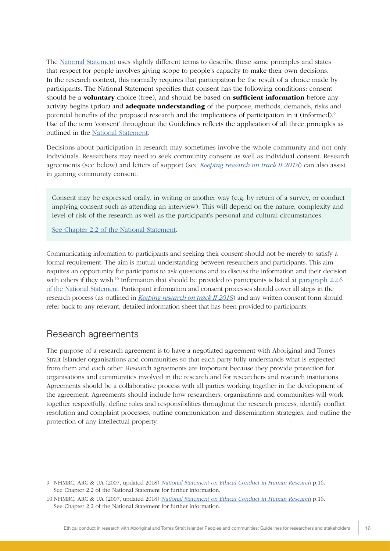<span id="page-20-0"></span>The [National Statement](https://www.nhmrc.gov.au/book/chapter-2-2-general-requirements-consent) uses slightly different terms to describe these same principles and states that respect for people involves giving scope to people's capacity to make their own decisions. In the research context, this normally requires that participation be the result of a choice made by participants. The National Statement specifies that consent has the following conditions: consent should be a **voluntary** choice (free), and should be based on **sufficient information** before any activity begins (prior) and **adequate understanding** of the purpose, methods, demands, risks and potential benefits of the proposed research and the implications of participation in it (informed).9 Use of the term 'consent' throughout the Guidelines reflects the application of all three principles as outlined in the [National Statement.](https://www.nhmrc.gov.au/book/chapter-2-2-general-requirements-consent)

Decisions about participation in research may sometimes involve the whole community and not only individuals. Researchers may need to seek community consent as well as individual consent. Research agreements (see below) and letters of support (see *[Keeping research on track II 2018](https://www.nhmrc.gov.au/guidelines-publications/ind3)*) can also assist in gaining community consent.

Consent may be expressed orally, in writing or another way (e.g. by return of a survey, or conduct implying consent such as attending an interview). This will depend on the nature, complexity and level of risk of the research as well as the participant's personal and cultural circumstances.

[See Chapter 2.2 of the National Statement](https://www.nhmrc.gov.au/book/chapter-2-2-general-requirements-consent).

Communicating information to participants and seeking their consent should not be merely to satisfy a formal requirement. The aim is mutual understanding between researchers and participants. This aim requires an opportunity for participants to ask questions and to discuss the information and their decision with others if they wish.<sup>10</sup> Information that should be provided to participants is listed at paragraph 2.2.6 [of the National Statement](https://www.nhmrc.gov.au/book/chapter-2-2-general-requirements-consent). Participant information and consent processes should cover all steps in the research process (as outlined in *[Keeping research on track II 2018](https://www.nhmrc.gov.au/guidelines-publications/ind3)*) and any written consent form should refer back to any relevant, detailed information sheet that has been provided to participants.

### Research agreements

The purpose of a research agreement is to have a negotiated agreement with Aboriginal and Torres Strait Islander organisations and communities so that each party fully understands what is expected from them and each other. Research agreements are important because they provide protection for organisations and communities involved in the research and for researchers and research institutions. Agreements should be a collaborative process with all parties working together in the development of the agreement. Agreements should include how researchers, organisations and communities will work together respectfully, define roles and responsibilities throughout the research process, identify conflict resolution and complaint processes, outline communication and dissemination strategies, and outline the protection of any intellectual property.

<sup>9</sup> NHMRC, ARC & UA (2007, updated 2018) [National Statement on Ethical Conduct in Human Research](https://www.nhmrc.gov.au/guidelines-publications/e72) p.16. See Chapter 2.2 of the National Statement for further information.

<sup>10</sup> NHMRC, ARC & UA (2007, updated 2018) [National Statement on Ethical Conduct in Human Research](https://www.nhmrc.gov.au/guidelines-publications/e72) p.16. See Chapter 2.2 of the National Statement for further information.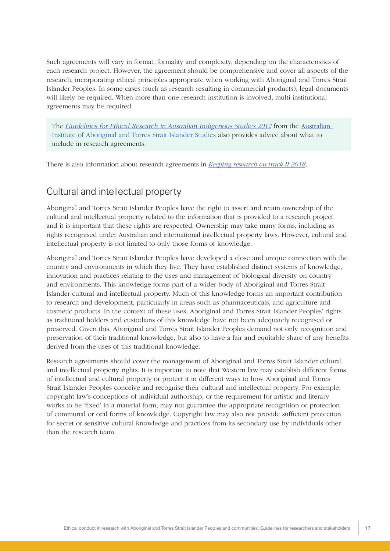<span id="page-21-0"></span>Such agreements will vary in format, formality and complexity, depending on the characteristics of each research project. However, the agreement should be comprehensive and cover all aspects of the research, incorporating ethical principles appropriate when working with Aboriginal and Torres Strait Islander Peoples. In some cases (such as research resulting in commercial products), legal documents will likely be required. When more than one research institution is involved, multi-institutional agreements may be required.

The [Guidelines for Ethical Research in Australian Indigenous Studies 2012](http://aiatsis.gov.au/research/ethical-research/guidelines-ethical-research-australian-indigenous-studies) from the Australian [Institute of Aboriginal and Torres Strait Islander Studies](http://aiatsis.gov.au/) also provides advice about what to include in research agreements.

There is also information about research agreements in *[Keeping research on track II 2018](https://www.nhmrc.gov.au/guidelines-publications/ind3)*.

### Cultural and intellectual property

Aboriginal and Torres Strait Islander Peoples have the right to assert and retain ownership of the cultural and intellectual property related to the information that is provided to a research project and it is important that these rights are respected. Ownership may take many forms, including as rights recognised under Australian and international intellectual property laws. However, cultural and intellectual property is not limited to only those forms of knowledge.

Aboriginal and Torres Strait Islander Peoples have developed a close and unique connection with the country and environments in which they live. They have established distinct systems of knowledge, innovation and practices relating to the uses and management of biological diversity on country and environments. This knowledge forms part of a wider body of Aboriginal and Torres Strait Islander cultural and intellectual property. Much of this knowledge forms an important contribution to research and development, particularly in areas such as pharmaceuticals, and agriculture and cosmetic products. In the context of these uses, Aboriginal and Torres Strait Islander Peoples' rights as traditional holders and custodians of this knowledge have not been adequately recognised or preserved. Given this, Aboriginal and Torres Strait Islander Peoples demand not only recognition and preservation of their traditional knowledge, but also to have a fair and equitable share of any benefits derived from the uses of this traditional knowledge.

Research agreements should cover the management of Aboriginal and Torres Strait Islander cultural and intellectual property rights. It is important to note that Western law may establish different forms of intellectual and cultural property or protect it in different ways to how Aboriginal and Torres Strait Islander Peoples conceive and recognise their cultural and intellectual property. For example, copyright law's conceptions of individual authorship, or the requirement for artistic and literary works to be 'fixed' in a material form, may not guarantee the appropriate recognition or protection of communal or oral forms of knowledge. Copyright law may also not provide sufficient protection for secret or sensitive cultural knowledge and practices from its secondary use by individuals other than the research team.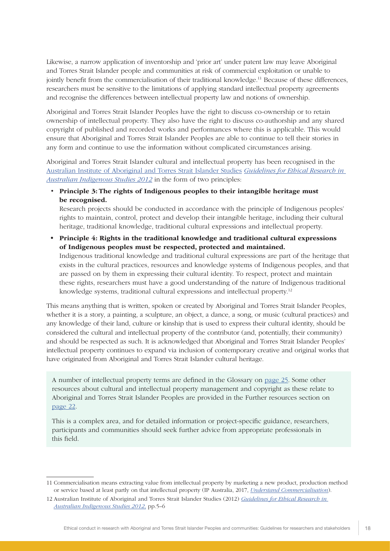Likewise, a narrow application of inventorship and 'prior art' under patent law may leave Aboriginal and Torres Strait Islander people and communities at risk of commercial exploitation or unable to jointly benefit from the commercialisation of their traditional knowledge.<sup>11</sup> Because of these differences, researchers must be sensitive to the limitations of applying standard intellectual property agreements and recognise the differences between intellectual property law and notions of ownership.

Aboriginal and Torres Strait Islander Peoples have the right to discuss co-ownership or to retain ownership of intellectual property. They also have the right to discuss co-authorship and any shared copyright of published and recorded works and performances where this is applicable. This would ensure that Aboriginal and Torres Strait Islander Peoples are able to continue to tell their stories in any form and continue to use the information without complicated circumstances arising.

Aboriginal and Torres Strait Islander cultural and intellectual property has been recognised in the [Australian Institute of Aboriginal and Torres Strait Islander Studies](http://aiatsis.gov.au/) *[Guidelines for Ethical Research in](http://aiatsis.gov.au/research/ethical-research/guidelines-ethical-research-australian-indigenous-studies)  [Australian Indigenous Studies 2012](http://aiatsis.gov.au/research/ethical-research/guidelines-ethical-research-australian-indigenous-studies)* in the form of two principles:

• Principle 3: The rights of Indigenous peoples to their intangible heritage must be recognised.

Research projects should be conducted in accordance with the principle of Indigenous peoples' rights to maintain, control, protect and develop their intangible heritage, including their cultural heritage, traditional knowledge, traditional cultural expressions and intellectual property.

• Principle 4: Rights in the traditional knowledge and traditional cultural expressions of Indigenous peoples must be respected, protected and maintained. Indigenous traditional knowledge and traditional cultural expressions are part of the heritage that exists in the cultural practices, resources and knowledge systems of Indigenous peoples, and that are passed on by them in expressing their cultural identity. To respect, protect and maintain

these rights, researchers must have a good understanding of the nature of Indigenous traditional knowledge systems, traditional cultural expressions and intellectual property.<sup>12</sup>

This means anything that is written, spoken or created by Aboriginal and Torres Strait Islander Peoples, whether it is a story, a painting, a sculpture, an object, a dance, a song, or music (cultural practices) and any knowledge of their land, culture or kinship that is used to express their cultural identity, should be considered the cultural and intellectual property of the contributor (and, potentially, their community) and should be respected as such. It is acknowledged that Aboriginal and Torres Strait Islander Peoples' intellectual property continues to expand via inclusion of contemporary creative and original works that have originated from Aboriginal and Torres Strait Islander cultural heritage.

A number of intellectual property terms are defined in the Glossary on [page 25](#page-29-0). Some other resources about cultural and intellectual property management and copyright as these relate to Aboriginal and Torres Strait Islander Peoples are provided in the Further resources section on [page 22](#page-26-0).

This is a complex area, and for detailed information or project-specific guidance, researchers, participants and communities should seek further advice from appropriate professionals in this field.

<sup>11</sup> Commercialisation means extracting value from intellectual property by marketing a new product, production method or service based at least partly on that intellectual property (IP Australia, 2017, *[Understand Commercialisation](https://www.ipaustralia.gov.au/understanding-ip/commercialise-your-ip/understand-commercialisation)*).

<sup>12</sup> Australian Institute of Aboriginal and Torres Strait Islander Studies (2012) *[Guidelines for Ethical Research in](http://aiatsis.gov.au/research/ethical-research/guidelines-ethical-research-australian-indigenous-studies)  [Australian Indigenous Studies 2012](http://aiatsis.gov.au/research/ethical-research/guidelines-ethical-research-australian-indigenous-studies)*, pp.5–6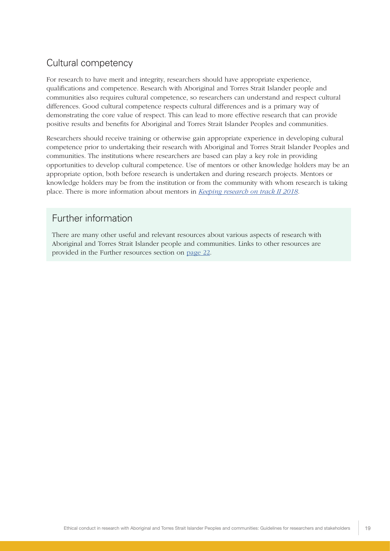### <span id="page-23-0"></span>Cultural competency

For research to have merit and integrity, researchers should have appropriate experience, qualifications and competence. Research with Aboriginal and Torres Strait Islander people and communities also requires cultural competence, so researchers can understand and respect cultural differences. Good cultural competence respects cultural differences and is a primary way of demonstrating the core value of respect. This can lead to more effective research that can provide positive results and benefits for Aboriginal and Torres Strait Islander Peoples and communities.

Researchers should receive training or otherwise gain appropriate experience in developing cultural competence prior to undertaking their research with Aboriginal and Torres Strait Islander Peoples and communities. The institutions where researchers are based can play a key role in providing opportunities to develop cultural competence. Use of mentors or other knowledge holders may be an appropriate option, both before research is undertaken and during research projects. Mentors or knowledge holders may be from the institution or from the community with whom research is taking place. There is more information about mentors in *[Keeping research on track II 2018](https://www.nhmrc.gov.au/guidelines-publications/ind3)*.

### Further information

There are many other useful and relevant resources about various aspects of research with Aboriginal and Torres Strait Islander people and communities. Links to other resources are provided in the Further resources section on [page 22.](#page-26-0)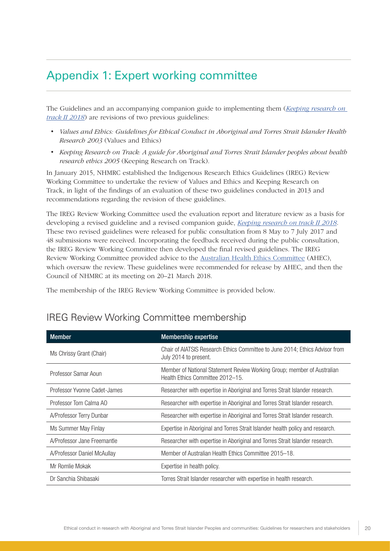### <span id="page-24-0"></span>Appendix 1: Expert working committee

The Guidelines and an accompanying companion guide to implementing them (*[Keeping research on](https://www.nhmrc.gov.au/guidelines-publications/ind3)  [track II 2018](https://www.nhmrc.gov.au/guidelines-publications/ind3)*) are revisions of two previous guidelines:

- *Values and Ethics: Guidelines for Ethical Conduct in Aboriginal and Torres Strait Islander Health Research 2003* (Values and Ethics)
- *Keeping Research on Track: A guide for Aboriginal and Torres Strait Islander peoples about health research ethics 2005* (Keeping Research on Track).

In January 2015, NHMRC established the Indigenous Research Ethics Guidelines (IREG) Review Working Committee to undertake the review of Values and Ethics and Keeping Research on Track, in light of the findings of an evaluation of these two guidelines conducted in 2013 and recommendations regarding the revision of these guidelines.

The IREG Review Working Committee used the evaluation report and literature review as a basis for developing a revised guideline and a revised companion guide, *[Keeping research on track II 2018](https://www.nhmrc.gov.au/guidelines-publications/ind3)*. These two revised guidelines were released for public consultation from 8 May to 7 July 2017 and 48 submissions were received. Incorporating the feedback received during the public consultation, the IREG Review Working Committee then developed the final revised guidelines. The IREG Review Working Committee provided advice to the [Australian Health Ethics Committee](https://www.nhmrc.gov.au/about/nhmrc-committees/australian-health-ethics-committee-ahec) (AHEC), which oversaw the review. These guidelines were recommended for release by AHEC, and then the Council of NHMRC at its meeting on 20–21 March 2018.

The membership of the IREG Review Working Committee is provided below.

| <b>Member</b>                | <b>Membership expertise</b>                                                                                 |
|------------------------------|-------------------------------------------------------------------------------------------------------------|
| Ms Chrissy Grant (Chair)     | Chair of AIATSIS Research Ethics Committee to June 2014; Ethics Advisor from<br>July 2014 to present.       |
| Professor Samar Aoun         | Member of National Statement Review Working Group; member of Australian<br>Health Ethics Committee 2012-15. |
| Professor Yvonne Cadet-James | Researcher with expertise in Aboriginal and Torres Strait Islander research.                                |
| Professor Tom Calma AO       | Researcher with expertise in Aboriginal and Torres Strait Islander research.                                |
| A/Professor Terry Dunbar     | Researcher with expertise in Aboriginal and Torres Strait Islander research.                                |
| Ms Summer May Finlay         | Expertise in Aboriginal and Torres Strait Islander health policy and research.                              |
| A/Professor Jane Freemantle  | Researcher with expertise in Aboriginal and Torres Strait Islander research.                                |
| A/Professor Daniel McAullay  | Member of Australian Health Ethics Committee 2015–18.                                                       |
| Mr Romlie Mokak              | Expertise in health policy.                                                                                 |
| Dr Sanchia Shibasaki         | Torres Strait Islander researcher with expertise in health research.                                        |

### IREG Review Working Committee membership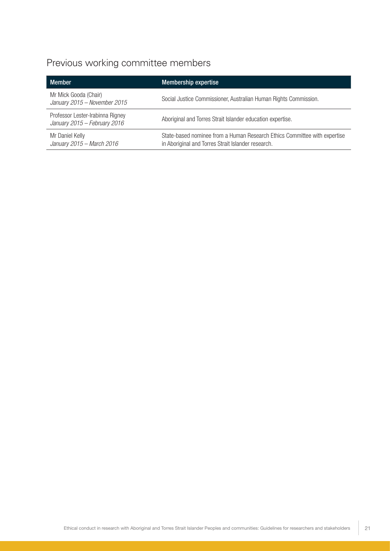### Previous working committee members

| <b>Member</b>                                                    | <b>Membership expertise</b>                                                                                                     |
|------------------------------------------------------------------|---------------------------------------------------------------------------------------------------------------------------------|
| Mr Mick Gooda (Chair)<br>January 2015 - November 2015            | Social Justice Commissioner, Australian Human Rights Commission.                                                                |
| Professor Lester-Irabinna Rigney<br>January 2015 - February 2016 | Aboriginal and Torres Strait Islander education expertise.                                                                      |
| Mr Daniel Kelly<br>January 2015 - March 2016                     | State-based nominee from a Human Research Ethics Committee with expertise<br>in Aboriginal and Torres Strait Islander research. |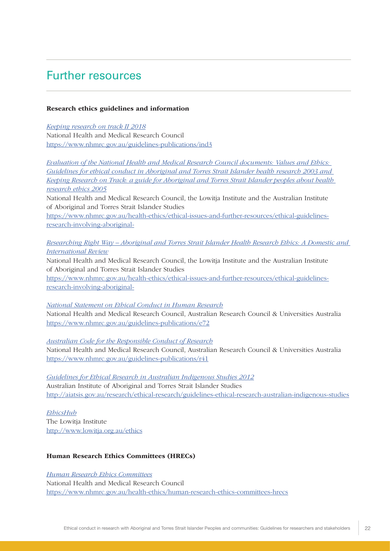### <span id="page-26-0"></span>Further resources

#### Research ethics guidelines and information

*[Keeping research on track II 2018](https://www.nhmrc.gov.au/guidelines-publications/ind3)* National Health and Medical Research Council https://www.nhmrc.gov.au/guidelines-publications/ind3

*[Evaluation of the National Health and Medical Research Council documents: Values and Ethics:](https://www.nhmrc.gov.au/health-ethics/ethical-issues-and-further-resources/ethical-guidelines-research-involving-aboriginal-)  [Guidelines for ethical conduct in Aboriginal and Torres Strait Islander health research 2003 and](https://www.nhmrc.gov.au/health-ethics/ethical-issues-and-further-resources/ethical-guidelines-research-involving-aboriginal-)  [Keeping Research on Track: a guide for Aboriginal and Torres Strait Islander peoples about health](https://www.nhmrc.gov.au/health-ethics/ethical-issues-and-further-resources/ethical-guidelines-research-involving-aboriginal-)  [research ethics 2005](https://www.nhmrc.gov.au/health-ethics/ethical-issues-and-further-resources/ethical-guidelines-research-involving-aboriginal-)*

National Health and Medical Research Council, the Lowitja Institute and the Australian Institute of Aboriginal and Torres Strait Islander Studies

[https://www.nhmrc.gov.au/health-ethics/ethical-issues-and-further-resources/ethical-guidelines](https://www.nhmrc.gov.au/health-ethics/ethical-issues-and-further-resources/ethical-guidelines-research-involving-aboriginal-)[research-involving-aboriginal-](https://www.nhmrc.gov.au/health-ethics/ethical-issues-and-further-resources/ethical-guidelines-research-involving-aboriginal-)

*[Researching Right Way – Aboriginal and Torres Strait Islander Health Research Ethics: A Domestic and](https://www.nhmrc.gov.au/health-ethics/ethical-issues-and-further-resources/ethical-guidelines-research-involving-aboriginal-)  [International Review](https://www.nhmrc.gov.au/health-ethics/ethical-issues-and-further-resources/ethical-guidelines-research-involving-aboriginal-)*

National Health and Medical Research Council, the Lowitja Institute and the Australian Institute of Aboriginal and Torres Strait Islander Studies

[https://www.nhmrc.gov.au/health-ethics/ethical-issues-and-further-resources/ethical-guidelines](https://www.nhmrc.gov.au/health-ethics/ethical-issues-and-further-resources/ethical-guidelines-research-involving-aboriginal-)[research-involving-aboriginal-](https://www.nhmrc.gov.au/health-ethics/ethical-issues-and-further-resources/ethical-guidelines-research-involving-aboriginal-)

*[National Statement on Ethical Conduct in Human Research](https://www.nhmrc.gov.au/guidelines-publications/e72)* National Health and Medical Research Council, Australian Research Council & Universities Australia <https://www.nhmrc.gov.au/guidelines-publications/e72>

*[Australian Code for the Responsible Conduct of Research](https://www.nhmrc.gov.au/guidelines-publications/r41)*

National Health and Medical Research Council, Australian Research Council & Universities Australia https://www.nhmrc.gov.au/guidelines-publications/r41

*[Guidelines for Ethical Research in Australian Indigenous Studies 2012](http://aiatsis.gov.au/research/ethical-research/guidelines-ethical-research-australian-indigenous-studies)* Australian Institute of Aboriginal and Torres Strait Islander Studies <http://aiatsis.gov.au/research/ethical-research/guidelines-ethical-research-australian-indigenous-studies>

*[EthicsHub](http://www.lowitja.org.au/ethics)* The Lowitja Institute <http://www.lowitja.org.au/ethics>

#### Human Research Ethics Committees (HRECs)

*[Human Research Ethics Committees](https://www.nhmrc.gov.au/health-ethics/human-research-ethics-committees-hrecs)* National Health and Medical Research Council <https://www.nhmrc.gov.au/health-ethics/human-research-ethics-committees-hrecs>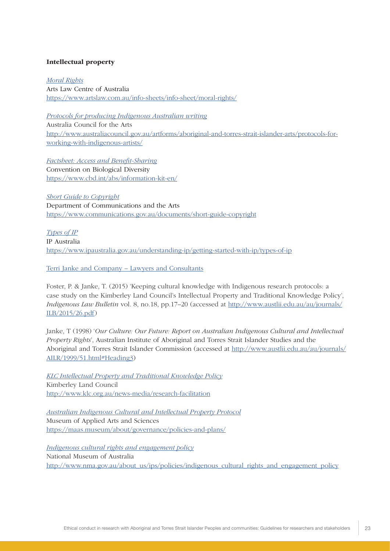#### Intellectual property

*[Moral Rights](https://www.artslaw.com.au/info-sheets/info-sheet/moral-rights/)* Arts Law Centre of Australia <https://www.artslaw.com.au/info-sheets/info-sheet/moral-rights/>

*[Protocols for producing Indigenous Australian writing](http://australiacouncil.gov.au/artforms/aboriginal-and-torres-strait-islander-arts/protocols-for-working-with-indigenous-artists/)* Australia Council for the Arts [http://www.australiacouncil.gov.au/artforms/aboriginal-and-torres-strait-islander-arts/protocols-for](http://www.australiacouncil.gov.au/artforms/aboriginal-and-torres-strait-islander-arts/protocols-for-working-with-indigenous-artists/)[working-with-indigenous-artists/](http://www.australiacouncil.gov.au/artforms/aboriginal-and-torres-strait-islander-arts/protocols-for-working-with-indigenous-artists/)

*[Factsheet: Access and Benefit-Sharing](https://www.cbd.int/abs/information-kit-en/)* Convention on Biological Diversity <https://www.cbd.int/abs/information-kit-en/>

*[Short Guide to Copyright](https://www.communications.gov.au/documents/short-guide-copyright)* Department of Communications and the Arts <https://www.communications.gov.au/documents/short-guide-copyright>

*[Types of IP](https://www.ipaustralia.gov.au/understanding-ip/getting-started-with-ip/types-of-ip)* IP Australia <https://www.ipaustralia.gov.au/understanding-ip/getting-started-with-ip/types-of-ip>

[Terri Janke and Company – Lawyers and Consultants](http://www.terrijanke.com.au/)

Foster, P. & Janke, T. (2015) 'Keeping cultural knowledge with Indigenous research protocols: a case study on the Kimberley Land Council's Intellectual Property and Traditional Knowledge Policy', *Indigenous Law Bulletin* vol. 8, no.18, pp.17–20 (accessed at [http://www.austlii.edu.au/au/journals/](http://www.austlii.edu.au/au/journals/ILB/2015/26.pdf) [ILB/2015/26.pdf\)](http://www.austlii.edu.au/au/journals/ILB/2015/26.pdf)

Janke, T (1998) '*Our Culture: Our Future: Report on Australian Indigenous Cultural and Intellectual Property Rights*', Australian Institute of Aboriginal and Torres Strait Islander Studies and the Aboriginal and Torres Strait Islander Commission (accessed at [http://www.austlii.edu.au/au/journals/](http://www.austlii.edu.au/au/journals/AILR/1999/51.html#Heading3) [AILR/1999/51.html#Heading3](http://www.austlii.edu.au/au/journals/AILR/1999/51.html#Heading3))

*[KLC Intellectual Property and Traditional Knowledge Policy](http://www.klc.org.au/news-media/research-facilitation)* Kimberley Land Council <http://www.klc.org.au/news-media/research-facilitation>

*[Australian Indigenous Cultural and Intellectual Property Protocol](https://maas.museum/about/governance/policies-and-plans/)* Museum of Applied Arts and Sciences <https://maas.museum/about/governance/policies-and-plans/>

*[Indigenous cultural rights and engagement policy](http://www.nma.gov.au/about_us/ips/policies/indigenous_cultural_rights_and_engagement_policy)* National Museum of Australia [http://www.nma.gov.au/about\\_us/ips/policies/indigenous\\_cultural\\_rights\\_and\\_engagement\\_policy](http://www.nma.gov.au/about_us/ips/policies/indigenous_cultural_rights_and_engagement_policy)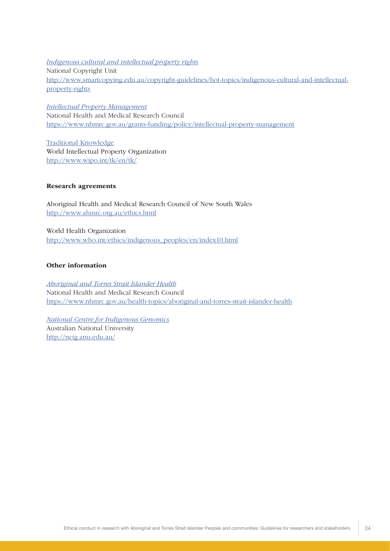*[Indigenous cultural and intellectual property rights](http://www.smartcopying.edu.au/copyright-guidelines/hot-topics/indigenous-cultural-and-intellectual-property-rights)* National Copyright Unit [http://www.smartcopying.edu.au/copyright-guidelines/hot-topics/indigenous-cultural-and-intellectual](http://www.smartcopying.edu.au/copyright-guidelines/hot-topics/indigenous-cultural-and-intellectual-property-rights)[property-rights](http://www.smartcopying.edu.au/copyright-guidelines/hot-topics/indigenous-cultural-and-intellectual-property-rights)

*[Intellectual Property Management](http://www.nhmrc.gov.au/grants-funding/policy/intellectual-property-management)* National Health and Medical Research Council <https://www.nhmrc.gov.au/grants-funding/policy/intellectual-property-management>

[Traditional Knowledge](http://www.wipo.int/tk/en/tk/) World Intellectual Property Organization <http://www.wipo.int/tk/en/tk/>

#### Research agreements

Aboriginal Health and Medical Research Council of New South Wales <http://www.ahmrc.org.au/ethics.html>

World Health Organization [http://www.who.int/ethics/indigenous\\_peoples/en/index10.html](http://www.who.int/ethics/indigenous_peoples/en/index10.html)

#### Other information

*[Aboriginal and Torres Strait Islander Health](https://www.nhmrc.gov.au/health-topics/indigenous-health)* National Health and Medical Research Council https://www.nhmrc.gov.au/health-topics/aboriginal-and-torres-strait-islander-health

*[National Centre for Indigenous Genomics](http://ncig.anu.edu.au/)* Australian National University [http://ncig.anu.edu.au/](https://www.nhmrc.gov.au/health-topics/indigenous-health)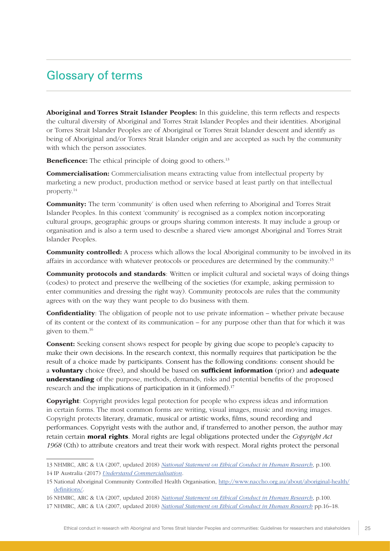### <span id="page-29-0"></span>Glossary of terms

Aboriginal and Torres Strait Islander Peoples: In this guideline, this term reflects and respects the cultural diversity of Aboriginal and Torres Strait Islander Peoples and their identities. Aboriginal or Torres Strait Islander Peoples are of Aboriginal or Torres Strait Islander descent and identify as being of Aboriginal and/or Torres Strait Islander origin and are accepted as such by the community with which the person associates.

Beneficence: The ethical principle of doing good to others.<sup>13</sup>

**Commercialisation:** Commercialisation means extracting value from intellectual property by marketing a new product, production method or service based at least partly on that intellectual property.14

**Community:** The term 'community' is often used when referring to Aboriginal and Torres Strait Islander Peoples. In this context 'community' is recognised as a complex notion incorporating cultural groups, geographic groups or groups sharing common interests. It may include a group or organisation and is also a term used to describe a shared view amongst Aboriginal and Torres Strait Islander Peoples.

**Community controlled:** A process which allows the local Aboriginal community to be involved in its affairs in accordance with whatever protocols or procedures are determined by the community.15

**Community protocols and standards:** Written or implicit cultural and societal ways of doing things (codes) to protect and preserve the wellbeing of the societies (for example, asking permission to enter communities and dressing the right way). Community protocols are rules that the community agrees with on the way they want people to do business with them.

**Confidentiality**: The obligation of people not to use private information – whether private because of its content or the context of its communication – for any purpose other than that for which it was given to them.16

Consent: Seeking consent shows respect for people by giving due scope to people's capacity to make their own decisions. In the research context, this normally requires that participation be the result of a choice made by participants. Consent has the following conditions: consent should be a **voluntary** choice (free), and should be based on **sufficient information** (prior) and **adequate** understanding of the purpose, methods, demands, risks and potential benefits of the proposed research and the implications of participation in it (informed).17

Copyright: Copyright provides legal protection for people who express ideas and information in certain forms. The most common forms are writing, visual images, music and moving images. Copyright protects literary, dramatic, musical or artistic works, films, sound recording and performances. Copyright vests with the author and, if transferred to another person, the author may retain certain moral rights. Moral rights are legal obligations protected under the *Copyright Act 1968* (Cth) to attribute creators and treat their work with respect. Moral rights protect the personal

<sup>13</sup> NHMRC, ARC & UA (2007, updated 2018) *[National Statement on Ethical Conduct in Human Research](https://www.nhmrc.gov.au/guidelines-publications/e72)*, p.100.

<sup>14</sup> IP Australia (2017) *[Understand Commercialisation](https://www.ipaustralia.gov.au/understanding-ip/commercialise-your-ip/understand-commercialisation)*.

<sup>15</sup> National Aboriginal Community Controlled Health Organisation, [http://www.naccho.org.au/about/aboriginal-health/](http://www.naccho.org.au/about/aboriginal-health/definitions/) [definitions/](http://www.naccho.org.au/about/aboriginal-health/definitions/).

<sup>16</sup> NHMRC, ARC & UA (2007, updated 2018) *[National Statement on Ethical Conduct in Human Research](https://www.nhmrc.gov.au/guidelines-publications/e72)*, p.100.

<sup>17</sup> NHMRC, ARC & UA (2007, updated 2018) *[National Statement on Ethical Conduct in Human Research](https://www.nhmrc.gov.au/guidelines-publications/e72)* pp.16–18.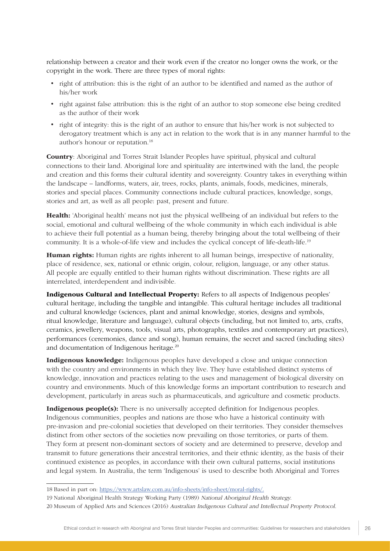relationship between a creator and their work even if the creator no longer owns the work, or the copyright in the work. There are three types of moral rights:

- right of attribution: this is the right of an author to be identified and named as the author of his/her work
- right against false attribution: this is the right of an author to stop someone else being credited as the author of their work
- right of integrity: this is the right of an author to ensure that his/her work is not subjected to derogatory treatment which is any act in relation to the work that is in any manner harmful to the author's honour or reputation.18

Country: Aboriginal and Torres Strait Islander Peoples have spiritual, physical and cultural connections to their land. Aboriginal lore and spirituality are intertwined with the land, the people and creation and this forms their cultural identity and sovereignty. Country takes in everything within the landscape – landforms, waters, air, trees, rocks, plants, animals, foods, medicines, minerals, stories and special places. Community connections include cultural practices, knowledge, songs, stories and art, as well as all people: past, present and future.

Health: 'Aboriginal health' means not just the physical wellbeing of an individual but refers to the social, emotional and cultural wellbeing of the whole community in which each individual is able to achieve their full potential as a human being, thereby bringing about the total wellbeing of their community. It is a whole-of-life view and includes the cyclical concept of life-death-life.19

**Human rights:** Human rights are rights inherent to all human beings, irrespective of nationality, place of residence, sex, national or ethnic origin, colour, religion, language, or any other status. All people are equally entitled to their human rights without discrimination. These rights are all interrelated, interdependent and indivisible.

Indigenous Cultural and Intellectual Property: Refers to all aspects of Indigenous peoples' cultural heritage, including the tangible and intangible. This cultural heritage includes all traditional and cultural knowledge (sciences, plant and animal knowledge, stories, designs and symbols, ritual knowledge, literature and language), cultural objects (including, but not limited to, arts, crafts, ceramics, jewellery, weapons, tools, visual arts, photographs, textiles and contemporary art practices), performances (ceremonies, dance and song), human remains, the secret and sacred (including sites) and documentation of Indigenous heritage.<sup>20</sup>

Indigenous knowledge: Indigenous peoples have developed a close and unique connection with the country and environments in which they live. They have established distinct systems of knowledge, innovation and practices relating to the uses and management of biological diversity on country and environments. Much of this knowledge forms an important contribution to research and development, particularly in areas such as pharmaceuticals, and agriculture and cosmetic products.

Indigenous people(s): There is no universally accepted definition for Indigenous peoples. Indigenous communities, peoples and nations are those who have a historical continuity with pre-invasion and pre-colonial societies that developed on their territories. They consider themselves distinct from other sectors of the societies now prevailing on those territories, or parts of them. They form at present non-dominant sectors of society and are determined to preserve, develop and transmit to future generations their ancestral territories, and their ethnic identity, as the basis of their continued existence as peoples, in accordance with their own cultural patterns, social institutions and legal system. In Australia, the term 'Indigenous' is used to describe both Aboriginal and Torres

20 Museum of Applied Arts and Sciences (2016) Australian Indigenous Cultural and Intellectual Property Protocol.

<sup>18</sup> Based in part on: [https://www.artslaw.com.au/info-sheets/info-sheet/moral-rights/.](https://www.artslaw.com.au/info-sheets/info-sheet/moral-rights/)

<sup>19</sup> National Aboriginal Health Strategy Working Party (1989) National Aboriginal Health Strategy.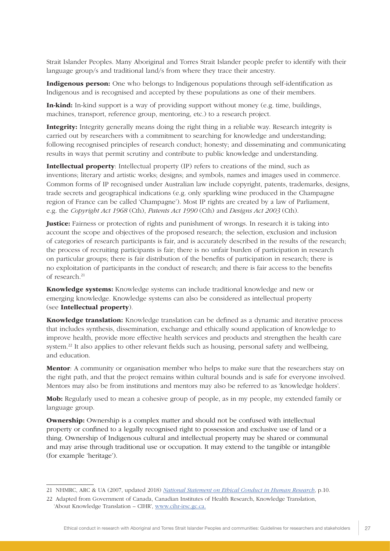Strait Islander Peoples. Many Aboriginal and Torres Strait Islander people prefer to identify with their language group/s and traditional land/s from where they trace their ancestry.

Indigenous person: One who belongs to Indigenous populations through self-identification as Indigenous and is recognised and accepted by these populations as one of their members.

In-kind: In-kind support is a way of providing support without money (e.g. time, buildings, machines, transport, reference group, mentoring, etc.) to a research project.

Integrity: Integrity generally means doing the right thing in a reliable way. Research integrity is carried out by researchers with a commitment to searching for knowledge and understanding; following recognised principles of research conduct; honesty; and disseminating and communicating results in ways that permit scrutiny and contribute to public knowledge and understanding.

Intellectual property: Intellectual property (IP) refers to creations of the mind, such as inventions; literary and artistic works; designs; and symbols, names and images used in commerce. Common forms of IP recognised under Australian law include copyright, patents, trademarks, designs, trade secrets and geographical indications (e.g. only sparkling wine produced in the Champagne region of France can be called 'Champagne'). Most IP rights are created by a law of Parliament, e.g. the *Copyright Act 1968* (Cth), *Patents Act 1990* (Cth) and *Designs Act 2003* (Cth).

**Justice:** Fairness or protection of rights and punishment of wrongs. In research it is taking into account the scope and objectives of the proposed research; the selection, exclusion and inclusion of categories of research participants is fair, and is accurately described in the results of the research; the process of recruiting participants is fair; there is no unfair burden of participation in research on particular groups; there is fair distribution of the benefits of participation in research; there is no exploitation of participants in the conduct of research; and there is fair access to the benefits of research.<sup>21</sup>

Knowledge systems: Knowledge systems can include traditional knowledge and new or emerging knowledge. Knowledge systems can also be considered as intellectual property (see Intellectual property).

**Knowledge translation:** Knowledge translation can be defined as a dynamic and iterative process that includes synthesis, dissemination, exchange and ethically sound application of knowledge to improve health, provide more effective health services and products and strengthen the health care system.<sup>22</sup> It also applies to other relevant fields such as housing, personal safety and wellbeing, and education.

**Mentor**: A community or organisation member who helps to make sure that the researchers stay on the right path, and that the project remains within cultural bounds and is safe for everyone involved. Mentors may also be from institutions and mentors may also be referred to as 'knowledge holders'.

Mob: Regularly used to mean a cohesive group of people, as in my people, my extended family or language group.

**Ownership:** Ownership is a complex matter and should not be confused with intellectual property or confined to a legally recognised right to possession and exclusive use of land or a thing. Ownership of Indigenous cultural and intellectual property may be shared or communal and may arise through traditional use or occupation. It may extend to the tangible or intangible (for example 'heritage').

<sup>21</sup> NHMRC, ARC & UA (2007, updated 2018) *[National Statement on Ethical Conduct in Human Research](https://www.nhmrc.gov.au/guidelines-publications/e72)*, p.10.

<sup>22</sup> Adapted from Government of Canada, Canadian Institutes of Health Research, Knowledge Translation, 'About Knowledge Translation – CIHR', [www.cihr-irsc.gc.ca](http://www.cihr-irsc.gc.ca).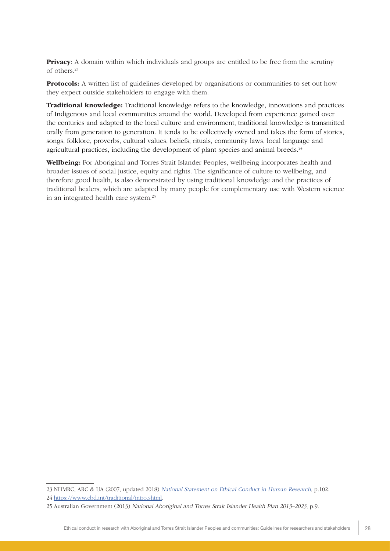**Privacy**: A domain within which individuals and groups are entitled to be free from the scrutiny of others.23

Protocols: A written list of guidelines developed by organisations or communities to set out how they expect outside stakeholders to engage with them.

Traditional knowledge: Traditional knowledge refers to the knowledge, innovations and practices of Indigenous and local communities around the world. Developed from experience gained over the centuries and adapted to the local culture and environment, traditional knowledge is transmitted orally from generation to generation. It tends to be collectively owned and takes the form of stories, songs, folklore, proverbs, cultural values, beliefs, rituals, community laws, local language and agricultural practices, including the development of plant species and animal breeds.<sup>24</sup>

Wellbeing: For Aboriginal and Torres Strait Islander Peoples, wellbeing incorporates health and broader issues of social justice, equity and rights. The significance of culture to wellbeing, and therefore good health, is also demonstrated by using traditional knowledge and the practices of traditional healers, which are adapted by many people for complementary use with Western science in an integrated health care system.25

<sup>23</sup> NHMRC, ARC & UA (2007, updated 2018) [National Statement on Ethical Conduct in Human Research](https://www.nhmrc.gov.au/guidelines-publications/e72), p.102.

<sup>24</sup> <https://www.cbd.int/traditional/intro.shtml>.

<sup>25</sup> Australian Government (2013) National Aboriginal and Torres Strait Islander Health Plan 2013–2023, p.9.